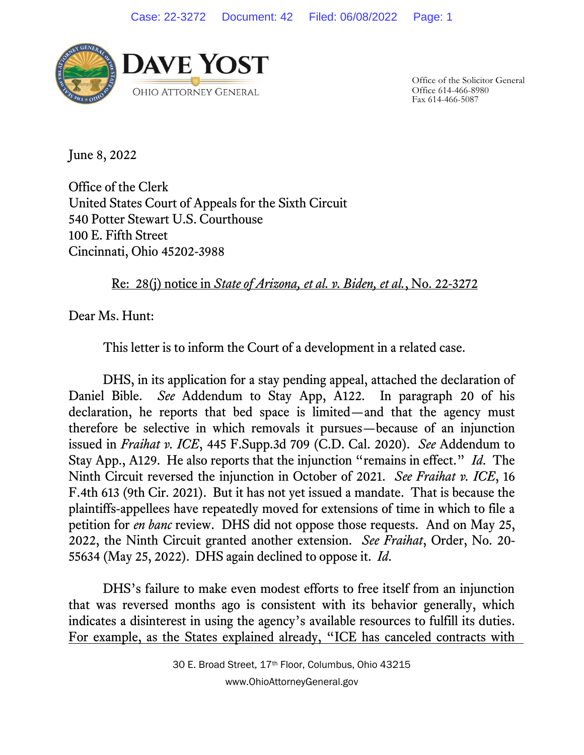

Office of the Solicitor General Office 614-466-8980 Fax 614-466-5087

June 8, 2022

Office of the Clerk United States Court of Appeals for the Sixth Circuit 540 Potter Stewart U.S. Courthouse 100 E. Fifth Street Cincinnati, Ohio 45202-3988

Re: 28(j) notice in *State of Arizona, et al. v. Biden, et al.*, No. 22-3272

Dear Ms. Hunt:

This letter is to inform the Court of a development in a related case.

DHS, in its application for a stay pending appeal, attached the declaration of Daniel Bible. *See* Addendum to Stay App, A122. In paragraph 20 of his declaration, he reports that bed space is limited—and that the agency must therefore be selective in which removals it pursues—because of an injunction issued in *Fraihat v. ICE*, 445 F.Supp.3d 709 (C.D. Cal. 2020). *See* Addendum to Stay App., A129. He also reports that the injunction "remains in effect." *Id*. The Ninth Circuit reversed the injunction in October of 2021. *See Fraihat v. ICE*, 16 F.4th 613 (9th Cir. 2021). But it has not yet issued a mandate. That is because the plaintiffs-appellees have repeatedly moved for extensions of time in which to file a petition for *en banc* review. DHS did not oppose those requests. And on May 25, 2022, the Ninth Circuit granted another extension. *See Fraihat*, Order, No. 20- 55634 (May 25, 2022). DHS again declined to oppose it. *Id*.

DHS's failure to make even modest efforts to free itself from an injunction that was reversed months ago is consistent with its behavior generally, which indicates a disinterest in using the agency's available resources to fulfill its duties. For example, as the States explained already, "ICE has canceled contracts with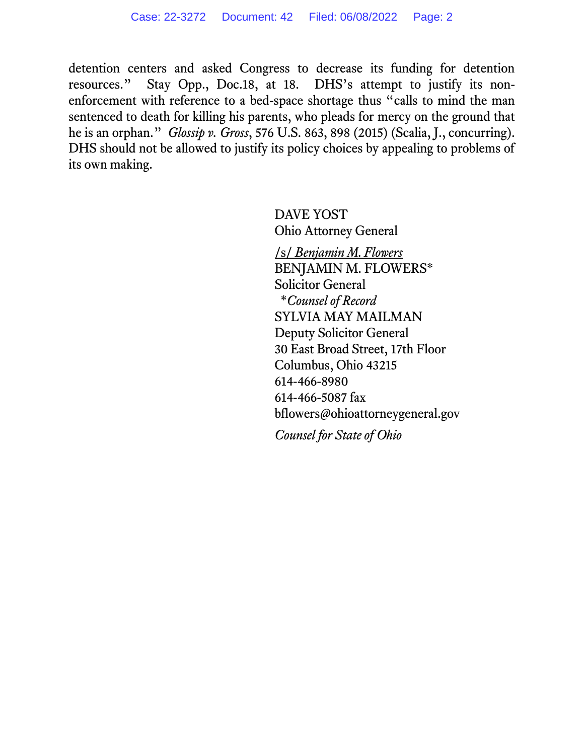detention centers and asked Congress to decrease its funding for detention resources." Stay Opp., Doc.18, at 18. DHS's attempt to justify its nonenforcement with reference to a bed-space shortage thus "calls to mind the man sentenced to death for killing his parents, who pleads for mercy on the ground that he is an orphan." *Glossip v. Gross*, 576 U.S. 863, 898 (2015) (Scalia, J., concurring). DHS should not be allowed to justify its policy choices by appealing to problems of its own making.

> DAVE YOST Ohio Attorney General

/s/ *Benjamin M. Flowers* BENJAMIN M. FLOWERS\* Solicitor General \**Counsel of Record* SYLVIA MAY MAILMAN Deputy Solicitor General 30 East Broad Street, 17th Floor Columbus, Ohio 43215 614-466-8980 614-466-5087 fax bflowers@ohioattorneygeneral.gov

*Counsel for State of Ohio*